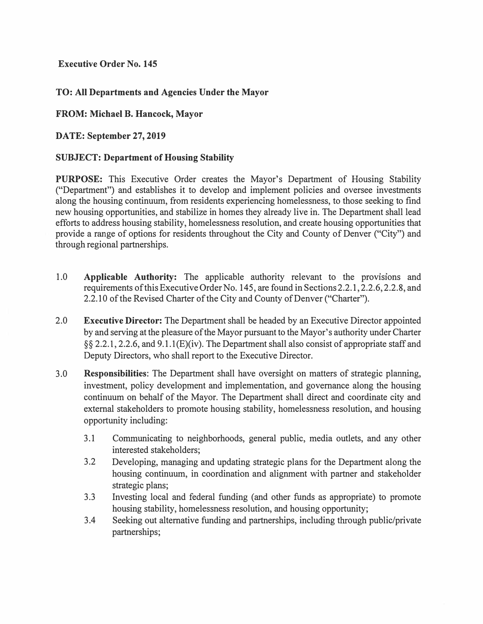**Executive Order No. 145** 

# **TO: All Departments and Agencies Under the Mayor**

## **FROM: Michael B. Hancock, Mayor**

## **DATE: September 27, 2019**

## **SUBJECT: Department of Housing Stability**

**PURPOSE:** This Executive Order creates the Mayor's Department of Housing Stability ("Department") and establishes it to develop and implement policies and oversee investments along the housing continuum, from residents experiencing homelessness, to those seeking to find new housing opportunities, and stabilize in homes they already live in. The Department shall lead efforts to address housing stability, homelessness resolution, and create housing opportunities that provide a range of options for residents throughout the City and County of Denver ("City") and through regional partnerships.

- 1.0 **Applicable Authority:** The applicable authority relevant to the provisions and requirements of this Executive Order No. 145, are found in Sections 2.2.1, 2.2.6, 2.2.8, and 2.2.10 of the Revised Charter of the City and County of Denver ("Charter").
- 2.0 **Executive Director:** The Department shall be headed by an Executive Director appointed by and serving at the pleasure of the Mayor pursuant to the Mayor's authority under Charter §§ 2.2.1, 2.2.6, and 9.1. l(E)(iv). The Department shall also consist of appropriate staff and Deputy Directors, who shall report to the Executive Director.
- 3.0 **Responsibilities:** The Department shall have oversight on matters of strategic planning, investment, policy development and implementation, and governance along the housing continuum on behalf of the Mayor. The Department shall direct and coordinate city and external stakeholders to promote housing stability, homelessness resolution, and housing opportunity including:
	- 3.1 Communicating to neighborhoods, general public, media outlets, and any other interested stakeholders;
	- 3.2 Developing, managing and updating strategic plans for the Department along the housing continuum, in coordination and alignment with partner and stakeholder strategic plans;
	- 3.3 Investing local and federal funding ( and other funds as appropriate) to promote housing stability, homelessness resolution, and housing opportunity;
	- 3.4 Seeking out alternative funding and partnerships, including through public/private partnerships;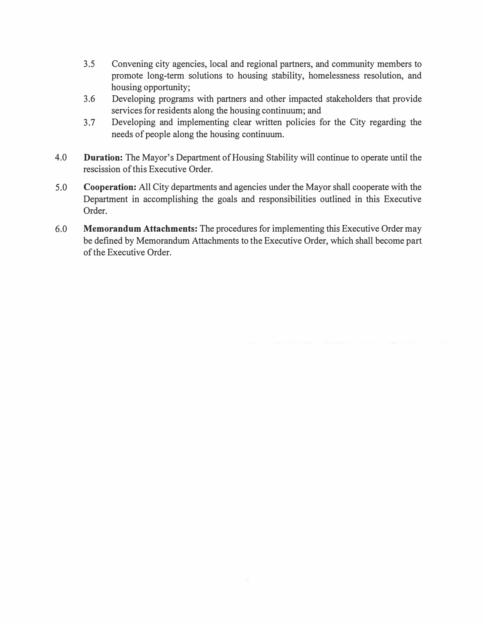- 3.5 Convening city agencies, local and regional partners, and community members to promote long-term solutions to housing stability, homelessness resolution, and housing opportunity;
- 3.6 Developing programs with partners and other impacted stakeholders that provide services for residents along the housing continuum; and
- 3.7 Developing and implementing clear written policies for the City regarding the needs of people along the housing continuum.
- 4.0 **Duration:** The Mayor's Department of Housing Stability will continue to operate until the rescission of this Executive Order.
- 5.0 **Cooperation:** All City departments and agencies under the Mayor shall cooperate with the Department in accomplishing the goals and responsibilities outlined in this Executive Order.
- 6.0 **Memorandum Attachments:** The procedures for implementing this Executive Order may be defined by Memorandum Attachments to the Executive Order, which shall become part of the Executive Order.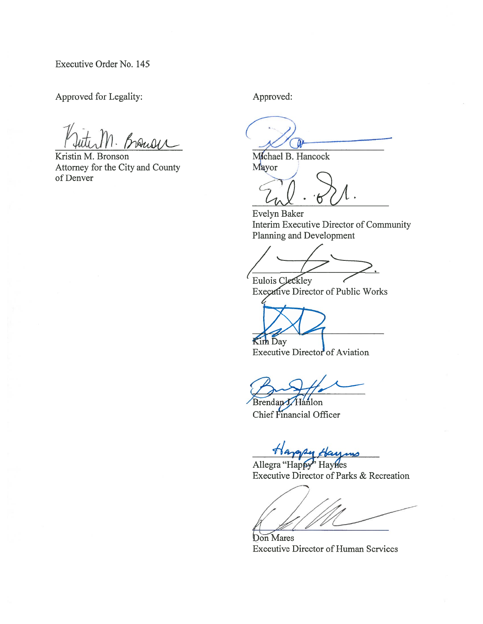Executive Order No. 145

Approved for Legality:

Brouse

Kristin M. Bronson Attorney for the City and County of Denver

Approved:

Mchael B. Hancock

Mayor

Evelyn Baker Interim Executive Director of Community Planning and Development

Eulois Cleckley

Executive Director of Public Works

Kim Day

Executive Director of Aviation

Brendan J. Hanlon Chief Financial Officer

Allegra "Happy" Haynes Executive Director of Parks & Recreation

Don Mares **Executive Director of Human Services**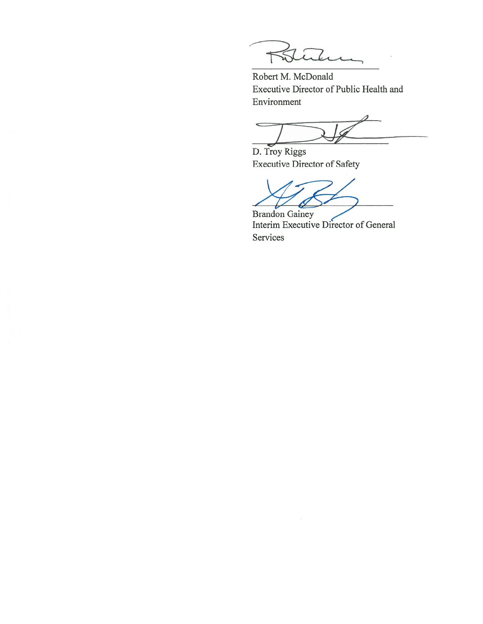7

Robert M. McDonald Executive Director of Public Health and Environment

 $\overline{\phantom{0}}$ 

D. Troy Riggs **Executive Director of Safety** 

**Brandon Gainey** Interim Executive Director of General Services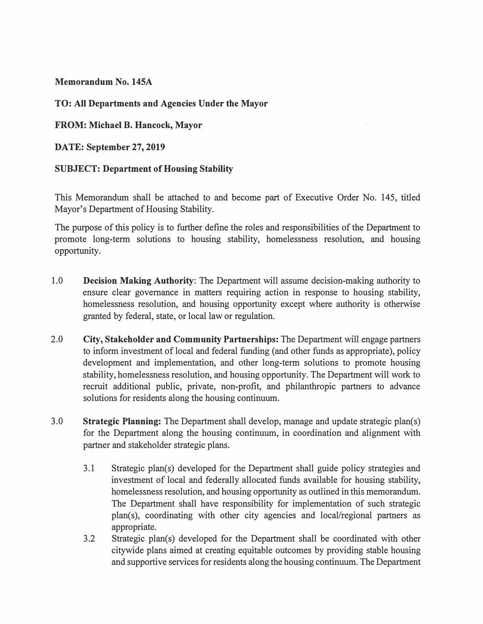**Memorandum No. 145A** 

# **TO: All Departments and Agencies Under the Mayor**

**FROM: Michael B. Hancock, Mayor** 

**DATE: September 27, 2019** 

**SUBJECT: Department of Housing Stability** 

This Memorandum shall be attached to and become part of Executive Order No. 145, titled Mayor's Department of Housing Stability.

The purpose of this policy is to further define the roles and responsibilities of the Department to promote long-term solutions to housing stability, homelessness resolution, and housing opportunity.

- 1.0 **Decision Making Authority:** The Department will assume decision-making authority to ensure clear governance in matters requiring action in response to housing stability, homelessness resolution, and housing opportunity except where authority is otherwise granted by federal, state, or local law or regulation.
- 2.0 **City, Stakeholder and Community Partnerships:** The Department will engage partners to inform investment of local and federal funding (and other funds as appropriate), policy development and implementation, and other long-term solutions to promote housing stability, homelessness resolution, and housing opportunity. The Department will work to recruit additional public, private, non-profit, and philanthropic partners to advance solutions for residents along the housing continuum.
- 3.0 **Strategic Planning:** The Department shall develop, manage and update strategic plan(s) for the Department along the housing continuum, in coordination and alignment with partner and stakeholder strategic plans.
	- 3.1 Strategic plan(s) developed for the Department shall guide policy strategies and investment of local and federally allocated funds available for housing stability, homelessness resolution, and housing opportunity as outlined in this memorandum. The Department shall have responsibility for implementation of such strategic plan(s), coordinating with other city agencies and local/regional partners as appropriate.
	- 3.2 Strategic plan(s) developed for the Department shall be coordinated with other citywide plans aimed at creating equitable outcomes by providing stable housing and supportive services for residents along the housing continuum. The Department